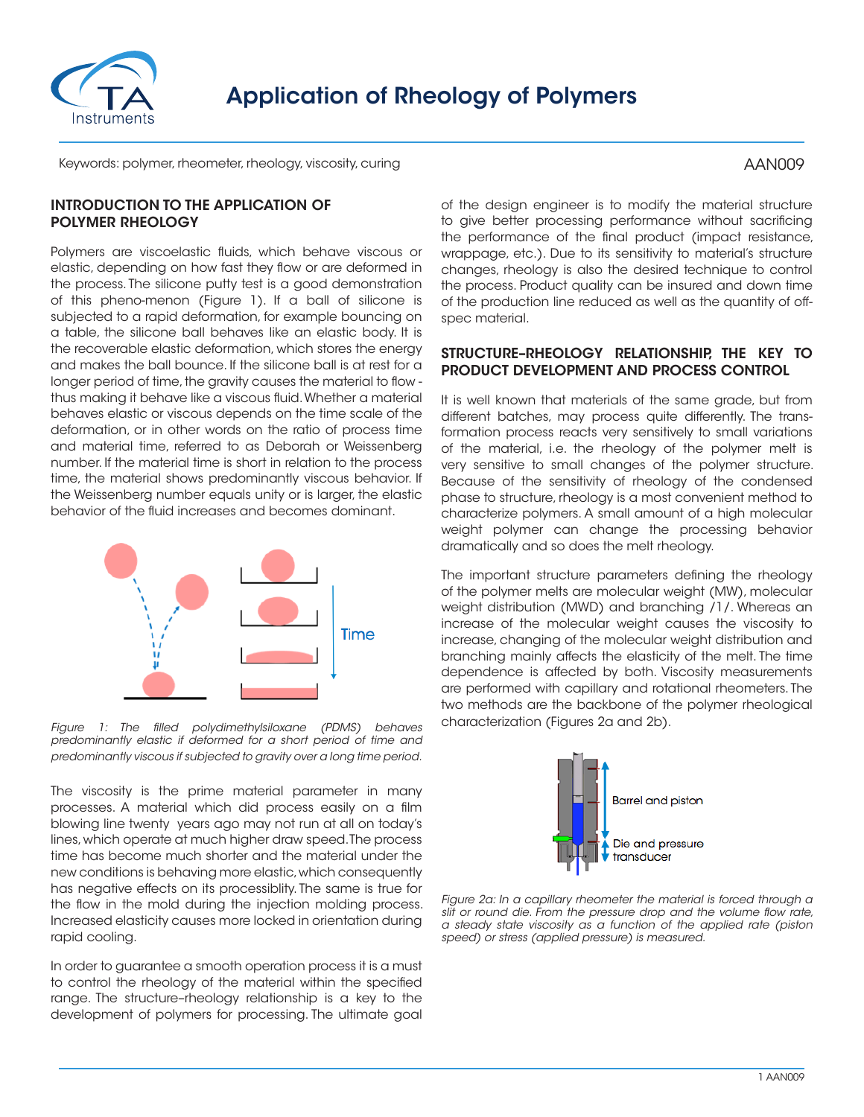

# Application of Rheology of Polymers

Keywords: polymer, rheometer, rheology, viscosity, curing

# INTRODUCTION TO THE APPLICATION OF POLYMER RHEOLOGY

Polymers are viscoelastic fluids, which behave viscous or elastic, depending on how fast they flow or are deformed in the process. The silicone putty test is a good demonstration of this pheno-menon (Figure 1). If a ball of silicone is subjected to a rapid deformation, for example bouncing on a table, the silicone ball behaves like an elastic body. It is the recoverable elastic deformation, which stores the energy and makes the ball bounce. If the silicone ball is at rest for a longer period of time, the gravity causes the material to flow thus making it behave like a viscous fluid. Whether a material behaves elastic or viscous depends on the time scale of the deformation, or in other words on the ratio of process time and material time, referred to as Deborah or Weissenberg number. If the material time is short in relation to the process time, the material shows predominantly viscous behavior. If the Weissenberg number equals unity or is larger, the elastic behavior of the fluid increases and becomes dominant.



*Figure 1: The filled polydimethylsiloxane (PDMS) behaves predominantly elastic if deformed for a short period of time and predominantly viscous if subjected to gravity over a long time period.*

The viscosity is the prime material parameter in many processes. A material which did process easily on a film blowing line twenty years ago may not run at all on today's lines, which operate at much higher draw speed. The process time has become much shorter and the material under the new conditions is behaving more elastic, which consequently has negative effects on its processiblity. The same is true for the flow in the mold during the injection molding process. Increased elasticity causes more locked in orientation during rapid cooling.

In order to guarantee a smooth operation process it is a must to control the rheology of the material within the specified range. The structure–rheology relationship is a key to the development of polymers for processing. The ultimate goal

of the design engineer is to modify the material structure to give better processing performance without sacrificing the performance of the final product (impact resistance, wrappage, etc.). Due to its sensitivity to material's structure changes, rheology is also the desired technique to control the process. Product quality can be insured and down time of the production line reduced as well as the quantity of offspec material.

#### STRUCTURE–RHEOLOGY RELATIONSHIP, THE KEY TO PRODUCT DEVELOPMENT AND PROCESS CONTROL

It is well known that materials of the same grade, but from different batches, may process quite differently. The transformation process reacts very sensitively to small variations of the material, i.e. the rheology of the polymer melt is very sensitive to small changes of the polymer structure. Because of the sensitivity of rheology of the condensed phase to structure, rheology is a most convenient method to characterize polymers. A small amount of a high molecular weight polymer can change the processing behavior dramatically and so does the melt rheology.

The important structure parameters defining the rheology of the polymer melts are molecular weight (MW), molecular weight distribution (MWD) and branching /1/. Whereas an increase of the molecular weight causes the viscosity to increase, changing of the molecular weight distribution and branching mainly affects the elasticity of the melt. The time dependence is affected by both. Viscosity measurements are performed with capillary and rotational rheometers. The two methods are the backbone of the polymer rheological characterization (Figures 2a and 2b).



*Figure 2a: In a capillary rheometer the material is forced through a slit or round die. From the pressure drop and the volume flow rate, a steady state viscosity as a function of the applied rate (piston speed) or stress (applied pressure) is measured.*

# AAN009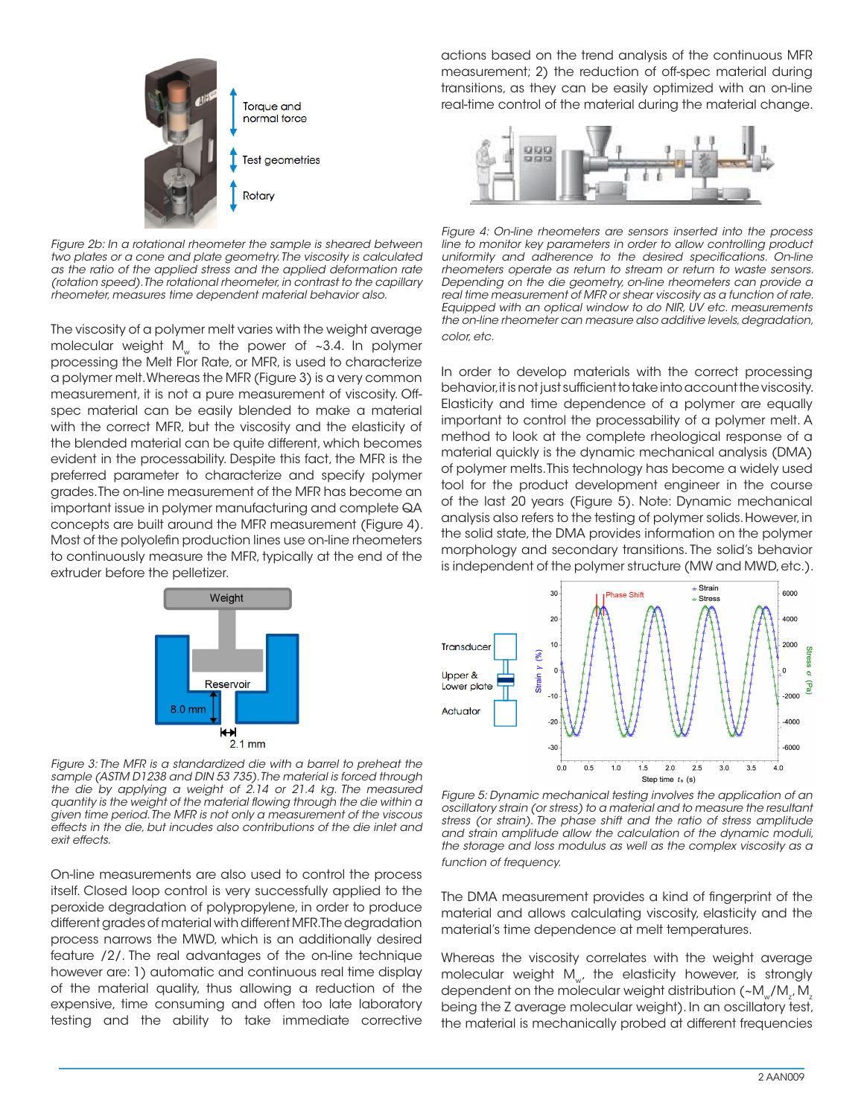

*Figure 2b: In a rotational rheometer the sample is sheared between two plates or a cone and plate geometry. The viscosity is calculated as the ratio of the applied stress and the applied deformation rate (rotation speed). The rotational rheometer, in contrast to the capillary rheometer, measures time dependent material behavior also.*

The viscosity of a polymer melt varies with the weight average molecular weight M<sub>w</sub> to the power of  $\sim$ 3.4. In polymer processing the Melt Flor Rate, or MFR, is used to characterize a polymer melt. Whereas the MFR (Figure 3) is a very common measurement, it is not a pure measurement of viscosity. Offspec material can be easily blended to make a material with the correct MFR, but the viscosity and the elasticity of the blended material can be quite different, which becomes evident in the processability. Despite this fact, the MFR is the preferred parameter to characterize and specify polymer grades. The on-line measurement of the MFR has become an important issue in polymer manufacturing and complete QA concepts are built around the MFR measurement (Figure 4). Most of the polyolefin production lines use on-line rheometers to continuously measure the MFR, typically at the end of the extruder before the pelletizer.



 $2.1 \text{ mm}$ *Figure 3: The MFR is a standardized die with a barrel to preheat the sample (ASTM D1238 and DIN 53 735). The material is forced through the die by applying a weight of 2.14 or 21.4 kg. The measured quantity is the weight of the material flowing through the die within a given time period. The MFR is not only a measurement of the viscous effects in the die, but incudes also contributions of the die inlet and exit effects.*

On-line measurements are also used to control the process itself. Closed loop control is very successfully applied to the peroxide degradation of polypropylene, in order to produce different grades of material with different MFR. The degradation process narrows the MWD, which is an additionally desired feature /2/. The real advantages of the on-line technique however are: 1) automatic and continuous real time display of the material quality, thus allowing a reduction of the expensive, time consuming and often too late laboratory testing and the ability to take immediate corrective actions based on the trend analysis of the continuous MFR measurement; 2) the reduction of off-spec material during transitions, as they can be easily optimized with an on-line real-time control of the material during the material change.



*Figure 4: On-line rheometers are sensors inserted into the process line to monitor key parameters in order to allow controlling product uniformity and adherence to the desired specifications. On-line rheometers operate as return to stream or return to waste sensors. Depending on the die geometry, on-line rheometers can provide a real time measurement of MFR or shear viscosity as a function of rate. Equipped with an optical window to do NIR, UV etc. measurements the on-line rheometer can measure also additive levels, degradation, color, etc.*

In order to develop materials with the correct processing behavior, it is not just sufficient to take into account the viscosity. Elasticity and time dependence of a polymer are equally important to control the processability of a polymer melt. A method to look at the complete rheological response of a material quickly is the dynamic mechanical analysis (DMA) of polymer melts. This technology has become a widely used tool for the product development engineer in the course of the last 20 years (Figure 5). Note: Dynamic mechanical analysis also refers to the testing of polymer solids. However, in the solid state, the DMA provides information on the polymer morphology and secondary transitions. The solid's behavior is independent of the polymer structure (MW and MWD, etc.).



*Figure 5: Dynamic mechanical testing involves the application of an oscillatory strain (or stress) to a material and to measure the resultant stress (or strain). The phase shift and the ratio of stress amplitude and strain amplitude allow the calculation of the dynamic moduli, the storage and loss modulus as well as the complex viscosity as a function of frequency.*

The DMA measurement provides a kind of fingerprint of the material and allows calculating viscosity, elasticity and the material's time dependence at melt temperatures.

Whereas the viscosity correlates with the weight average molecular weight  $M_{w}$ , the elasticity however, is strongly dependent on the molecular weight distribution (~M $_{\rm w}$ /M $_{\rm z}$ , M $_{\rm z}$ being the Z average molecular weight). In an oscillatory test, the material is mechanically probed at different frequencies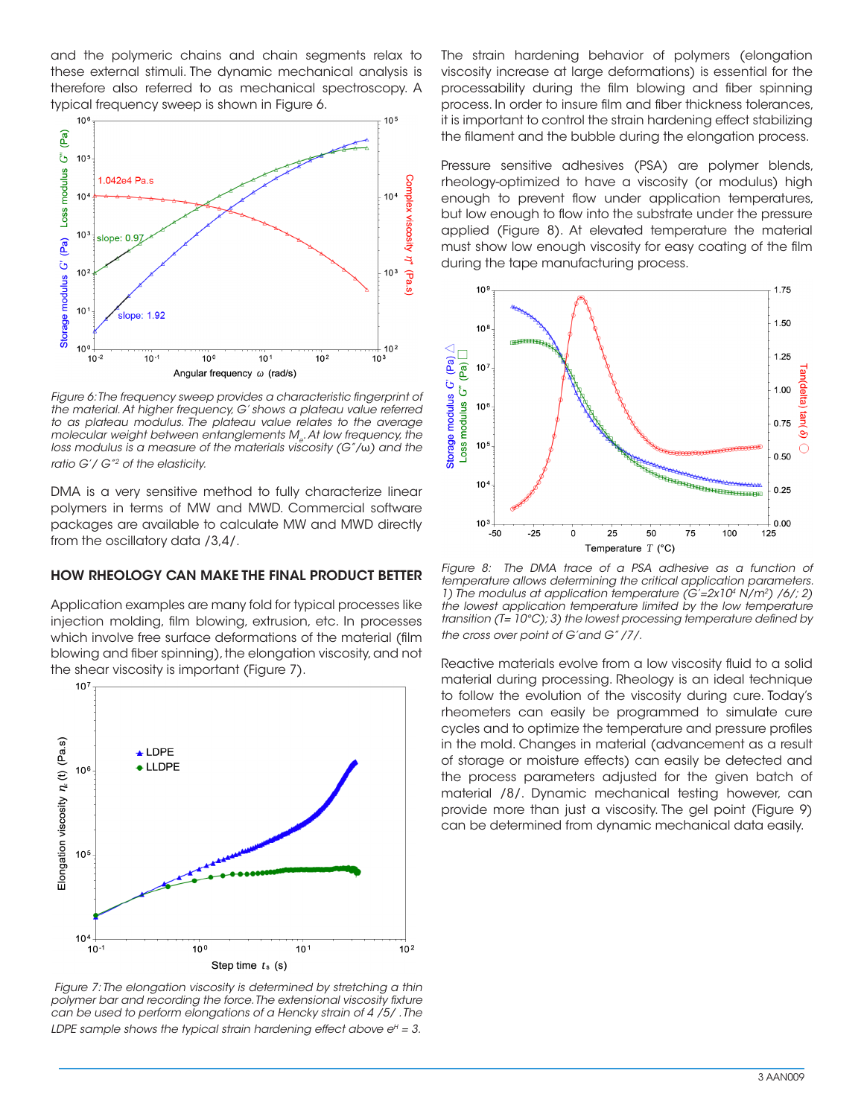and the polymeric chains and chain segments relax to these external stimuli. The dynamic mechanical analysis is therefore also referred to as mechanical spectroscopy. A typical frequency sweep is shown in Figure 6.



Figure 6: The frequency sweep provides a characteristic fingerprint of *the material. At higher frequency, G' shows a plateau value referred to as plateau modulus. The plateau value relates to the average*  molecular weight between entanglements M<sub>a</sub>. At low frequency, the *loss modulus is a measure of the materials viscosity (G"/*ω*) and the ratio G'/ G"2 of the elasticity.*

DMA is a very sensitive method to fully characterize linear polymers in terms of MW and MWD. Commercial software packages are available to calculate MW and MWD directly from the oscillatory data /3,4/.

#### HOW RHEOLOGY CAN MAKE THE FINAL PRODUCT BETTER

Application examples are many fold for typical processes like injection molding, film blowing, extrusion, etc. In processes which involve free surface deformations of the material (film blowing and fiber spinning), the elongation viscosity, and not the shear viscosity is important (Figure 7).



 *Figure 7: The elongation viscosity is determined by stretching a thin polymer bar and recording the force. The extensional viscosity fixture can be used to perform elongations of a Hencky strain of 4 /5/ . The LDPE sample shows the typical strain hardening effect above*  $e^H = 3$ *.* 

The strain hardening behavior of polymers (elongation viscosity increase at large deformations) is essential for the processability during the film blowing and fiber spinning process. In order to insure film and fiber thickness tolerances, it is important to control the strain hardening effect stabilizing the filament and the bubble during the elongation process.

Pressure sensitive adhesives (PSA) are polymer blends, rheology-optimized to have a viscosity (or modulus) high enough to prevent flow under application temperatures, but low enough to flow into the substrate under the pressure applied (Figure 8). At elevated temperature the material must show low enough viscosity for easy coating of the film during the tape manufacturing process.



*Figure 8: The DMA trace of a PSA adhesive as a function of temperature allows determining the critical application parameters. 1) The modulus at application temperature (G'=2x104 N/m2) /6/; 2) the lowest application temperature limited by the low temperature transition (T= 10°C); 3) the lowest processing temperature defined by the cross over point of G'and G" /7/.*

Reactive materials evolve from a low viscosity fluid to a solid material during processing. Rheology is an ideal technique to follow the evolution of the viscosity during cure. Today's rheometers can easily be programmed to simulate cure cycles and to optimize the temperature and pressure profiles in the mold. Changes in material (advancement as a result of storage or moisture effects) can easily be detected and the process parameters adjusted for the given batch of material /8/. Dynamic mechanical testing however, can provide more than just a viscosity. The gel point (Figure 9) can be determined from dynamic mechanical data easily.